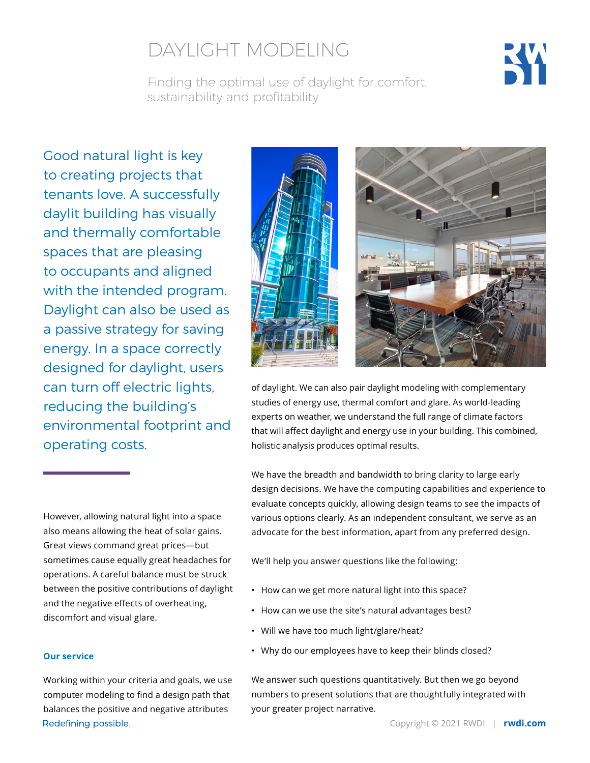# DAYLIGHT MODELING

Finding the optimal use of daylight for comfort, sustainability and profitability



Good natural light is key to creating projects that tenants love. A successfully daylit building has visually and thermally comfortable spaces that are pleasing to occupants and aligned with the intended program. Daylight can also be used as a passive strategy for saving energy. In a space correctly designed for daylight, users can turn off electric lights, reducing the building's environmental footprint and operating costs.

However, allowing natural light into a space also means allowing the heat of solar gains. Great views command great prices—but sometimes cause equally great headaches for operations. A careful balance must be struck between the positive contributions of daylight and the negative effects of overheating, discomfort and visual glare.

#### **Our service**

Working within your criteria and goals, we use computer modeling to find a design path that balances the positive and negative attributes Redefining possible.



of daylight. We can also pair daylight modeling with complementary studies of energy use, thermal comfort and glare. As world-leading experts on weather, we understand the full range of climate factors that will affect daylight and energy use in your building. This combined, holistic analysis produces optimal results.

We have the breadth and bandwidth to bring clarity to large early design decisions. We have the computing capabilities and experience to evaluate concepts quickly, allowing design teams to see the impacts of various options clearly. As an independent consultant, we serve as an advocate for the best information, apart from any preferred design.

We'll help you answer questions like the following:

- How can we get more natural light into this space?
- How can we use the site's natural advantages best?
- Will we have too much light/glare/heat?
- Why do our employees have to keep their blinds closed?

We answer such questions quantitatively. But then we go beyond numbers to present solutions that are thoughtfully integrated with your greater project narrative.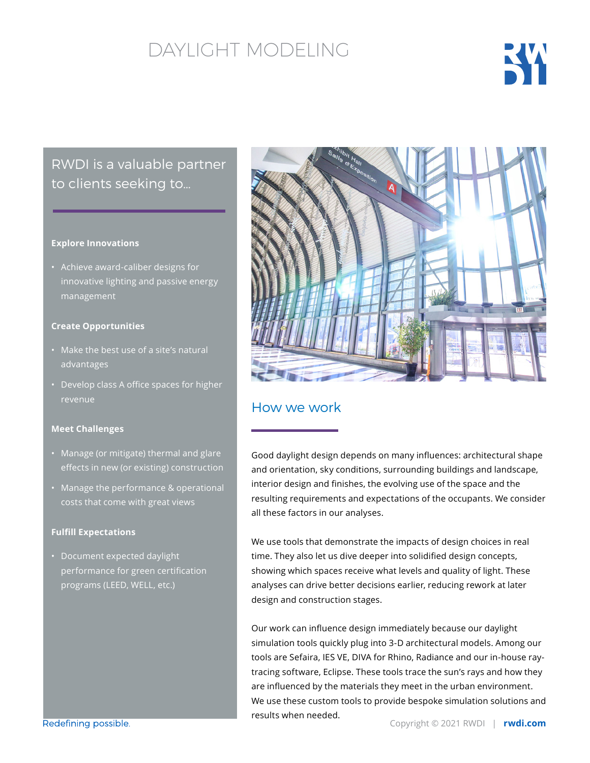## DAYLIGHT MODELING



### RWDI is a valuable partner to clients seeking to…

#### **Explore Innovations**

• Achieve award-caliber designs for innovative lighting and passive energy management

#### **Create Opportunities**

- Make the best use of a site's natural advantages
- Develop class A office spaces for higher revenue

#### **Meet Challenges**

- Manage (or mitigate) thermal and glare effects in new (or existing) construction
- Manage the performance & operational costs that come with great views

#### **Fulfill Expectations**

• Document expected daylight performance for green certification programs (LEED, WELL, etc.)



### How we work

Good daylight design depends on many influences: architectural shape and orientation, sky conditions, surrounding buildings and landscape, interior design and finishes, the evolving use of the space and the resulting requirements and expectations of the occupants. We consider all these factors in our analyses.

We use tools that demonstrate the impacts of design choices in real time. They also let us dive deeper into solidified design concepts, showing which spaces receive what levels and quality of light. These analyses can drive better decisions earlier, reducing rework at later design and construction stages.

Our work can influence design immediately because our daylight simulation tools quickly plug into 3-D architectural models. Among our tools are Sefaira, IES VE, DIVA for Rhino, Radiance and our in-house raytracing software, Eclipse. These tools trace the sun's rays and how they are influenced by the materials they meet in the urban environment. We use these custom tools to provide bespoke simulation solutions and results when needed.

Redefining possible.